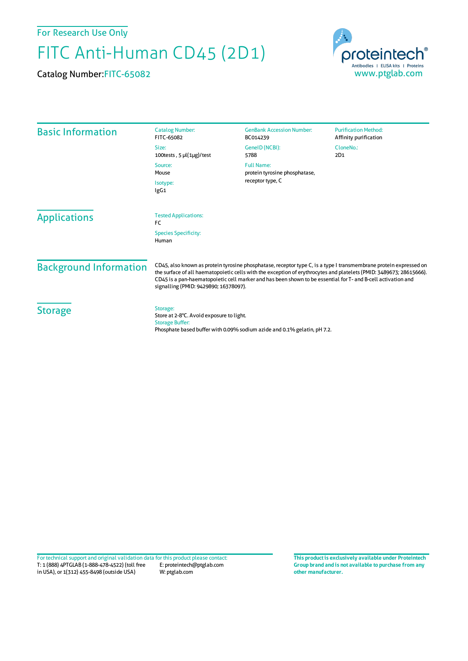For Research Use Only

## FITC Anti-Human CD45 (2D1)

Catalog Number:FITC-65082



| <b>Basic Information</b>      | <b>Catalog Number:</b><br>FITC-65082                                                                                                                                                                                                                                                                                                                                                              | <b>GenBank Accession Number:</b><br>BC014239                             | <b>Purification Method:</b><br>Affinity purification |
|-------------------------------|---------------------------------------------------------------------------------------------------------------------------------------------------------------------------------------------------------------------------------------------------------------------------------------------------------------------------------------------------------------------------------------------------|--------------------------------------------------------------------------|------------------------------------------------------|
|                               | Size:<br>100tests, $5 \mu(1\mu g)/\text{test}$                                                                                                                                                                                                                                                                                                                                                    | GenelD (NCBI):<br>5788                                                   | CloneNo.:<br>2D1                                     |
|                               | Source:<br>Mouse<br>Isotype:<br>lgG1                                                                                                                                                                                                                                                                                                                                                              | <b>Full Name:</b><br>protein tyrosine phosphatase,<br>receptor type, C   |                                                      |
|                               |                                                                                                                                                                                                                                                                                                                                                                                                   |                                                                          |                                                      |
| <b>Applications</b>           | <b>Tested Applications:</b><br>FC<br><b>Species Specificity:</b><br>Human                                                                                                                                                                                                                                                                                                                         |                                                                          |                                                      |
| <b>Background Information</b> | CD45, also known as protein tyrosine phosphatase, receptor type C, is a type I transmembrane protein expressed on<br>the surface of all haematopoietic cells with the exception of erythrocytes and platelets (PMID: 3489673; 28615666).<br>CD45 is a pan-haematopoietic cell marker and has been shown to be essential for T- and B-cell activation and<br>signalling (PMID: 9429890; 16378097). |                                                                          |                                                      |
| <b>Storage</b>                | Storage:<br>Store at 2-8°C. Avoid exposure to light.<br><b>Storage Buffer:</b>                                                                                                                                                                                                                                                                                                                    | Phosphate based buffer with 0.09% sodium azide and 0.1% gelatin, pH 7.2. |                                                      |

T: 1 (888) 4PTGLAB (1-888-478-4522) (toll free in USA), or 1(312) 455-8498 (outside USA) E: proteintech@ptglab.com W: ptglab.com Fortechnical support and original validation data forthis product please contact: **This productis exclusively available under Proteintech**

**Group brand and is not available to purchase from any other manufacturer.**